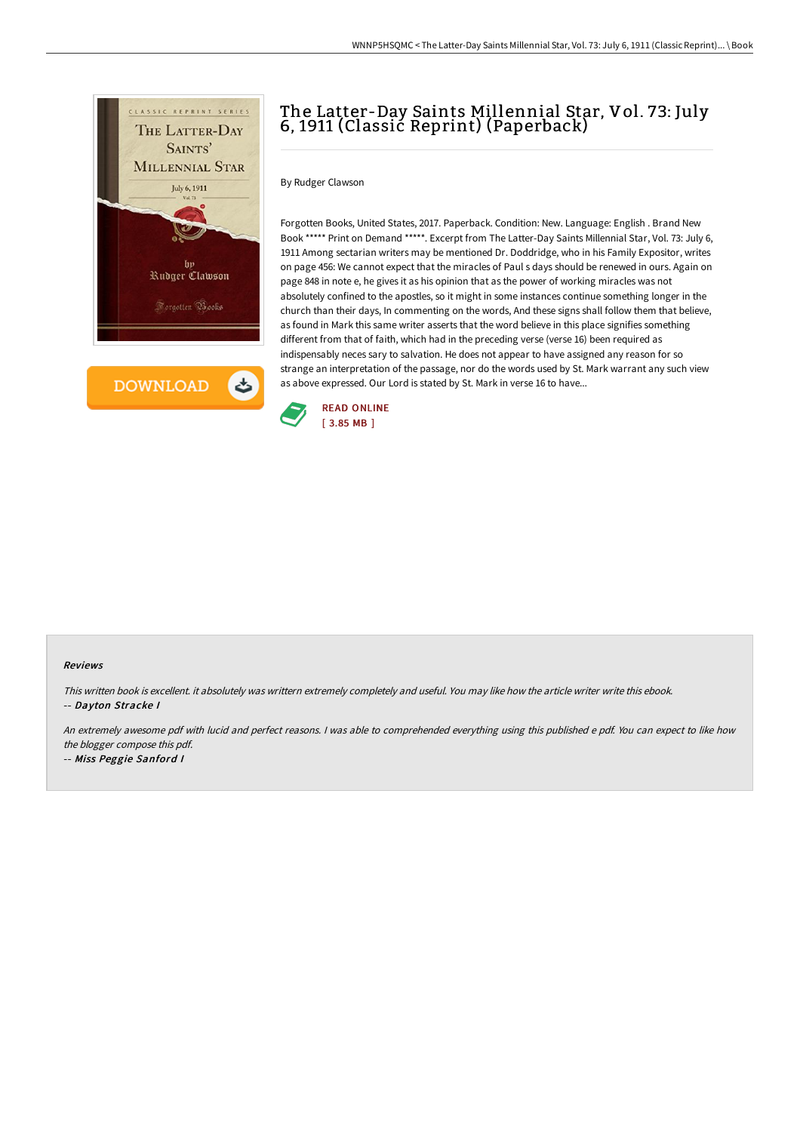

**DOWNLOAD** と

# The Latter-Day Saints Millennial Star, Vol. 73: July 6, 1911 (Classic Reprint) (Paperback)

By Rudger Clawson

Forgotten Books, United States, 2017. Paperback. Condition: New. Language: English . Brand New Book \*\*\*\*\* Print on Demand \*\*\*\*\*. Excerpt from The Latter-Day Saints Millennial Star, Vol. 73: July 6, 1911 Among sectarian writers may be mentioned Dr. Doddridge, who in his Family Expositor, writes on page 456: We cannot expect that the miracles of Paul s days should be renewed in ours. Again on page 848 in note e, he gives it as his opinion that as the power of working miracles was not absolutely confined to the apostles, so it might in some instances continue something longer in the church than their days, In commenting on the words, And these signs shall follow them that believe, as found in Mark this same writer asserts that the word believe in this place signifies something different from that of faith, which had in the preceding verse (verse 16) been required as indispensably neces sary to salvation. He does not appear to have assigned any reason for so strange an interpretation of the passage, nor do the words used by St. Mark warrant any such view as above expressed. Our Lord is stated by St. Mark in verse 16 to have...



#### Reviews

This written book is excellent. it absolutely was writtern extremely completely and useful. You may like how the article writer write this ebook. -- Dayton Stracke I

An extremely awesome pdf with lucid and perfect reasons. <sup>I</sup> was able to comprehended everything using this published <sup>e</sup> pdf. You can expect to like how the blogger compose this pdf.

-- Miss Peggie Sanford <sup>I</sup>